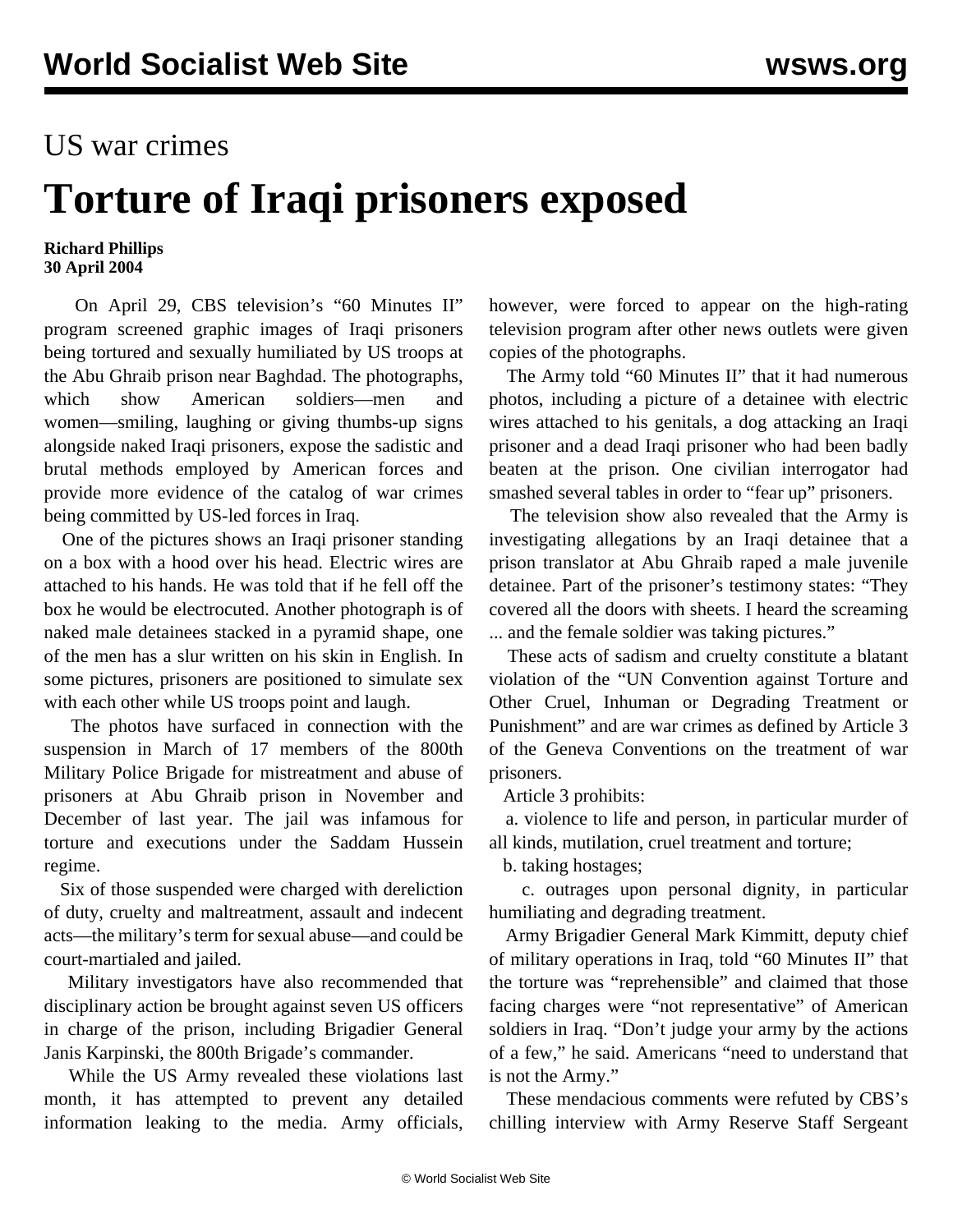## US war crimes

## **Torture of Iraqi prisoners exposed**

## **Richard Phillips 30 April 2004**

 On April 29, CBS television's "60 Minutes II" program screened graphic images of Iraqi prisoners being tortured and sexually humiliated by US troops at the Abu Ghraib prison near Baghdad. The photographs, which show American soldiers—men and women—smiling, laughing or giving thumbs-up signs alongside naked Iraqi prisoners, expose the sadistic and brutal methods employed by American forces and provide more evidence of the catalog of war crimes being committed by US-led forces in Iraq.

 One of the pictures shows an Iraqi prisoner standing on a box with a hood over his head. Electric wires are attached to his hands. He was told that if he fell off the box he would be electrocuted. Another photograph is of naked male detainees stacked in a pyramid shape, one of the men has a slur written on his skin in English. In some pictures, prisoners are positioned to simulate sex with each other while US troops point and laugh.

 The photos have surfaced in connection with the suspension in March of 17 members of the 800th Military Police Brigade for mistreatment and abuse of prisoners at Abu Ghraib prison in November and December of last year. The jail was infamous for torture and executions under the Saddam Hussein regime.

 Six of those suspended were charged with dereliction of duty, cruelty and maltreatment, assault and indecent acts—the military's term for sexual abuse—and could be court-martialed and jailed.

 Military investigators have also recommended that disciplinary action be brought against seven US officers in charge of the prison, including Brigadier General Janis Karpinski, the 800th Brigade's commander.

 While the US Army revealed these violations last month, it has attempted to prevent any detailed information leaking to the media. Army officials,

however, were forced to appear on the high-rating television program after other news outlets were given copies of the photographs.

 The Army told "60 Minutes II" that it had numerous photos, including a picture of a detainee with electric wires attached to his genitals, a dog attacking an Iraqi prisoner and a dead Iraqi prisoner who had been badly beaten at the prison. One civilian interrogator had smashed several tables in order to "fear up" prisoners.

 The television show also revealed that the Army is investigating allegations by an Iraqi detainee that a prison translator at Abu Ghraib raped a male juvenile detainee. Part of the prisoner's testimony states: "They covered all the doors with sheets. I heard the screaming ... and the female soldier was taking pictures."

 These acts of sadism and cruelty constitute a blatant violation of the "UN Convention against Torture and Other Cruel, Inhuman or Degrading Treatment or Punishment" and are war crimes as defined by Article 3 of the Geneva Conventions on the treatment of war prisoners.

Article 3 prohibits:

 a. violence to life and person, in particular murder of all kinds, mutilation, cruel treatment and torture;

b. taking hostages;

 c. outrages upon personal dignity, in particular humiliating and degrading treatment.

 Army Brigadier General Mark Kimmitt, deputy chief of military operations in Iraq, told "60 Minutes II" that the torture was "reprehensible" and claimed that those facing charges were "not representative" of American soldiers in Iraq. "Don't judge your army by the actions of a few," he said. Americans "need to understand that is not the Army."

 These mendacious comments were refuted by CBS's chilling interview with Army Reserve Staff Sergeant